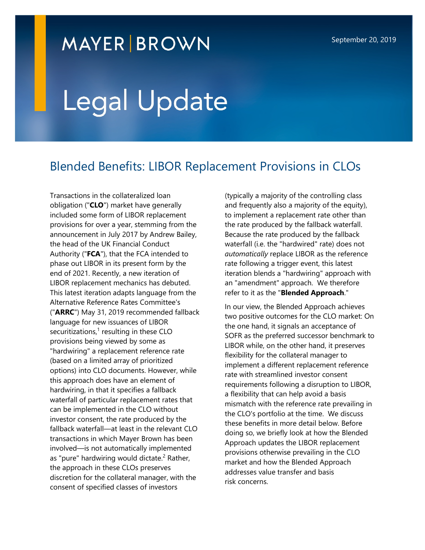# **MAYER BROWN**

# Legal Update

# Blended Benefits: LIBOR Replacement Provisions in CLOs

Transactions in the collateralized loan obligation ("**CLO**") market have generally included some form of LIBOR replacement provisions for over a year, stemming from the announcement in July 2017 by Andrew Bailey, the head of the UK Financial Conduct Authority ("**FCA**"), that the FCA intended to phase out LIBOR in its present form by the end of 2021. Recently, a new iteration of LIBOR replacement mechanics has debuted. This latest iteration adapts language from the Alternative Reference Rates Committee's ("**ARRC**") May 31, 2019 recommended fallback language for new issuances of LIBOR securitizations, $1$  resulting in these CLO provisions being viewed by some as "hardwiring" a replacement reference rate (based on a limited array of prioritized options) into CLO documents. However, while this approach does have an element of hardwiring, in that it specifies a fallback waterfall of particular replacement rates that can be implemented in the CLO without investor consent, the rate produced by the fallback waterfall—at least in the relevant CLO transactions in which Mayer Brown has been involved—is not automatically implemented as "pure" hardwiring would dictate.<sup>[2](#page-4-0)</sup> Rather, the approach in these CLOs preserves discretion for the collateral manager, with the consent of specified classes of investors

(typically a majority of the controlling class and frequently also a majority of the equity), to implement a replacement rate other than the rate produced by the fallback waterfall. Because the rate produced by the fallback waterfall (i.e. the "hardwired" rate) does not *automatically* replace LIBOR as the reference rate following a trigger event, this latest iteration blends a "hardwiring" approach with an "amendment" approach. We therefore refer to it as the "**Blended Approach**."

In our view, the Blended Approach achieves two positive outcomes for the CLO market: On the one hand, it signals an acceptance of SOFR as the preferred successor benchmark to LIBOR while, on the other hand, it preserves flexibility for the collateral manager to implement a different replacement reference rate with streamlined investor consent requirements following a disruption to LIBOR, a flexibility that can help avoid a basis mismatch with the reference rate prevailing in the CLO's portfolio at the time. We discuss these benefits in more detail below. Before doing so, we briefly look at how the Blended Approach updates the LIBOR replacement provisions otherwise prevailing in the CLO market and how the Blended Approach addresses value transfer and basis risk concerns.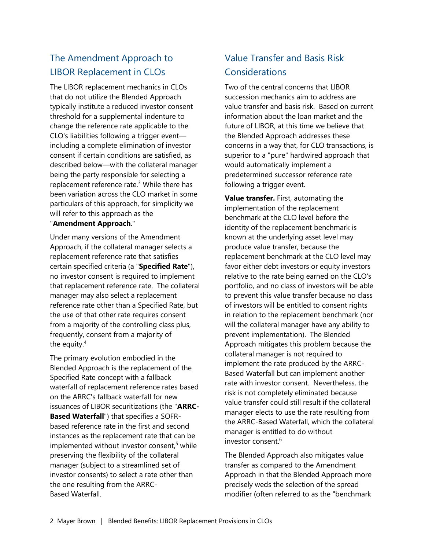## The Amendment Approach to LIBOR Replacement in CLOs

The LIBOR replacement mechanics in CLOs that do not utilize the Blended Approach typically institute a reduced investor consent threshold for a supplemental indenture to change the reference rate applicable to the CLO's liabilities following a trigger event including a complete elimination of investor consent if certain conditions are satisfied, as described below—with the collateral manager being the party responsible for selecting a replacement reference rate.<sup>[3](#page-4-0)</sup> While there has been variation across the CLO market in some particulars of this approach, for simplicity we will refer to this approach as the

#### "**Amendment Approach**."

Under many versions of the Amendment Approach, if the collateral manager selects a replacement reference rate that satisfies certain specified criteria (a "**Specified Rate**"), no investor consent is required to implement that replacement reference rate. The collateral manager may also select a replacement reference rate other than a Specified Rate, but the use of that other rate requires consent from a majority of the controlling class plus, frequently, consent from a majority of the equity.<sup>[4](#page-4-0)</sup>

The primary evolution embodied in the Blended Approach is the replacement of the Specified Rate concept with a fallback waterfall of replacement reference rates based on the ARRC's fallback waterfall for new issuances of LIBOR securitizations (the "**ARRC-Based Waterfall**") that specifies a SOFRbased reference rate in the first and second instances as the replacement rate that can be implemented without investor consent,<sup>[5](#page-4-0)</sup> while preserving the flexibility of the collateral manager (subject to a streamlined set of investor consents) to select a rate other than the one resulting from the ARRC-Based Waterfall.

### Value Transfer and Basis Risk **Considerations**

Two of the central concerns that LIBOR succession mechanics aim to address are value transfer and basis risk. Based on current information about the loan market and the future of LIBOR, at this time we believe that the Blended Approach addresses these concerns in a way that, for CLO transactions, is superior to a "pure" hardwired approach that would automatically implement a predetermined successor reference rate following a trigger event.

**Value transfer.** First, automating the implementation of the replacement benchmark at the CLO level before the identity of the replacement benchmark is known at the underlying asset level may produce value transfer, because the replacement benchmark at the CLO level may favor either debt investors or equity investors relative to the rate being earned on the CLO's portfolio, and no class of investors will be able to prevent this value transfer because no class of investors will be entitled to consent rights in relation to the replacement benchmark (nor will the collateral manager have any ability to prevent implementation). The Blended Approach mitigates this problem because the collateral manager is not required to implement the rate produced by the ARRC-Based Waterfall but can implement another rate with investor consent. Nevertheless, the risk is not completely eliminated because value transfer could still result if the collateral manager elects to use the rate resulting from the ARRC-Based Waterfall, which the collateral manager is entitled to do without investor consent  $6$ 

The Blended Approach also mitigates value transfer as compared to the Amendment Approach in that the Blended Approach more precisely weds the selection of the spread modifier (often referred to as the "benchmark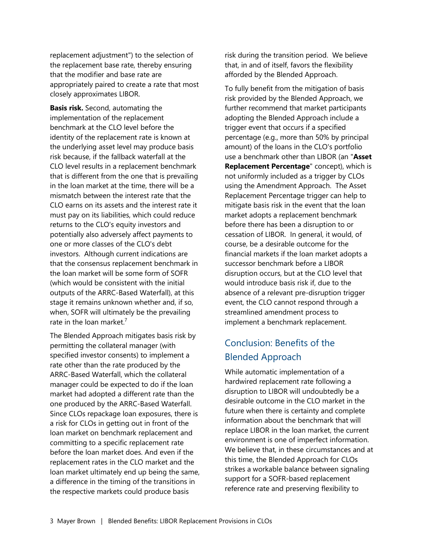replacement adjustment") to the selection of the replacement base rate, thereby ensuring that the modifier and base rate are appropriately paired to create a rate that most closely approximates LIBOR.

**Basis risk.** Second, automating the implementation of the replacement benchmark at the CLO level before the identity of the replacement rate is known at the underlying asset level may produce basis risk because, if the fallback waterfall at the CLO level results in a replacement benchmark that is different from the one that is prevailing in the loan market at the time, there will be a mismatch between the interest rate that the CLO earns on its assets and the interest rate it must pay on its liabilities, which could reduce returns to the CLO's equity investors and potentially also adversely affect payments to one or more classes of the CLO's debt investors. Although current indications are that the consensus replacement benchmark in the loan market will be some form of SOFR (which would be consistent with the initial outputs of the ARRC-Based Waterfall), at this stage it remains unknown whether and, if so, when, SOFR will ultimately be the prevailing rate in the loan market.<sup>[7](#page-4-0)</sup>

The Blended Approach mitigates basis risk by permitting the collateral manager (with specified investor consents) to implement a rate other than the rate produced by the ARRC-Based Waterfall, which the collateral manager could be expected to do if the loan market had adopted a different rate than the one produced by the ARRC-Based Waterfall. Since CLOs repackage loan exposures, there is a risk for CLOs in getting out in front of the loan market on benchmark replacement and committing to a specific replacement rate before the loan market does. And even if the replacement rates in the CLO market and the loan market ultimately end up being the same, a difference in the timing of the transitions in the respective markets could produce basis

risk during the transition period. We believe that, in and of itself, favors the flexibility afforded by the Blended Approach.

To fully benefit from the mitigation of basis risk provided by the Blended Approach, we further recommend that market participants adopting the Blended Approach include a trigger event that occurs if a specified percentage (e.g., more than 50% by principal amount) of the loans in the CLO's portfolio use a benchmark other than LIBOR (an "**Asset Replacement Percentage**" concept), which is not uniformly included as a trigger by CLOs using the Amendment Approach. The Asset Replacement Percentage trigger can help to mitigate basis risk in the event that the loan market adopts a replacement benchmark before there has been a disruption to or cessation of LIBOR. In general, it would, of course, be a desirable outcome for the financial markets if the loan market adopts a successor benchmark before a LIBOR disruption occurs, but at the CLO level that would introduce basis risk if, due to the absence of a relevant pre-disruption trigger event, the CLO cannot respond through a streamlined amendment process to implement a benchmark replacement.

#### Conclusion: Benefits of the Blended Approach

While automatic implementation of a hardwired replacement rate following a disruption to LIBOR will undoubtedly be a desirable outcome in the CLO market in the future when there is certainty and complete information about the benchmark that will replace LIBOR in the loan market, the current environment is one of imperfect information. We believe that, in these circumstances and at this time, the Blended Approach for CLOs strikes a workable balance between signaling support for a SOFR-based replacement reference rate and preserving flexibility to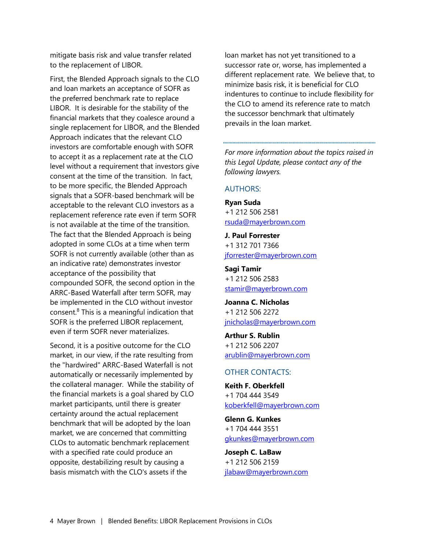mitigate basis risk and value transfer related to the replacement of LIBOR.

First, the Blended Approach signals to the CLO and loan markets an acceptance of SOFR as the preferred benchmark rate to replace LIBOR. It is desirable for the stability of the financial markets that they coalesce around a single replacement for LIBOR, and the Blended Approach indicates that the relevant CLO investors are comfortable enough with SOFR to accept it as a replacement rate at the CLO level without a requirement that investors give consent at the time of the transition. In fact, to be more specific, the Blended Approach signals that a SOFR-based benchmark will be acceptable to the relevant CLO investors as a replacement reference rate even if term SOFR is not available at the time of the transition. The fact that the Blended Approach is being adopted in some CLOs at a time when term SOFR is not currently available (other than as an indicative rate) demonstrates investor acceptance of the possibility that compounded SOFR, the second option in the ARRC-Based Waterfall after term SOFR, may be implemented in the CLO without investor consent.<sup>[8](#page-4-0)</sup> This is a meaningful indication that SOFR is the preferred LIBOR replacement, even if term SOFR never materializes.

Second, it is a positive outcome for the CLO market, in our view, if the rate resulting from the "hardwired" ARRC-Based Waterfall is not automatically or necessarily implemented by the collateral manager. While the stability of the financial markets is a goal shared by CLO market participants, until there is greater certainty around the actual replacement benchmark that will be adopted by the loan market, we are concerned that committing CLOs to automatic benchmark replacement with a specified rate could produce an opposite, destabilizing result by causing a basis mismatch with the CLO's assets if the

loan market has not yet transitioned to a successor rate or, worse, has implemented a different replacement rate. We believe that, to minimize basis risk, it is beneficial for CLO indentures to continue to include flexibility for the CLO to amend its reference rate to match the successor benchmark that ultimately prevails in the loan market.

*For more information about the topics raised in this Legal Update, please contact any of the following lawyers.* 

#### AUTHORS:

**Ryan Suda** +1 212 506 2581 [rsuda@mayerbrown.com](mailto:rsuda@mayerbrown.com)

**J. Paul Forrester** +1 312 701 7366 [jforrester@mayerbrown.com](mailto:jforrester@mayerbrown.com)

**Sagi Tamir** +1 212 506 2583 [stamir@mayerbrown.com](mailto:stamir@mayerbrown.com)

**Joanna C. Nicholas** +1 212 506 2272 [jnicholas@mayerbrown.com](mailto:jnicholas@mayerbrown.com)

**Arthur S. Rublin** +1 212 506 2207 [arublin@mayerbrown.com](mailto:arublin@mayerbrown.com) 

#### OTHER CONTACTS:

**Keith F. Oberkfell** +1 704 444 3549 [koberkfell@mayerbrown.com](mailto:koberkfell@mayerbrown.com)

**Glenn G. Kunkes** +1 704 444 3551 [gkunkes@mayerbrown.com](mailto:gkunkes@mayerbrown.com)

**Joseph C. LaBaw** +1 212 506 2159 [jlabaw@mayerbrown.com](mailto:jlabaw@mayerbrown.com)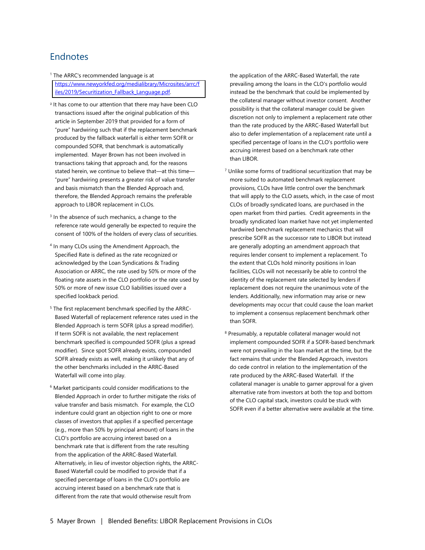#### <span id="page-4-0"></span>**Endnotes**

- <sup>1</sup> The ARRC's recommended language is at [https://www.newyorkfed.org/medialibrary/Microsites/arrc/f](https://www.newyorkfed.org/medialibrary/Microsites/arrc/files/2019/Securitization_Fallback_Language.pdf) iles/2019/Securitization\_Fallback\_Language.pdf.
- 2 It has come to our attention that there may have been CLO transactions issued after the original publication of this article in September 2019 that provided for a form of "pure" hardwiring such that if the replacement benchmark produced by the fallback waterfall is either term SOFR or compounded SOFR, that benchmark is automatically implemented. Mayer Brown has not been involved in transactions taking that approach and, for the reasons stated herein, we continue to believe that—at this time— "pure" hardwiring presents a greater risk of value transfer and basis mismatch than the Blended Approach and, therefore, the Blended Approach remains the preferable approach to LIBOR replacement in CLOs.
- <sup>3</sup> In the absence of such mechanics, a change to the reference rate would generally be expected to require the consent of 100% of the holders of every class of securities.
- 4 In many CLOs using the Amendment Approach, the Specified Rate is defined as the rate recognized or acknowledged by the Loan Syndications & Trading Association or ARRC, the rate used by 50% or more of the floating rate assets in the CLO portfolio or the rate used by 50% or more of new issue CLO liabilities issued over a specified lookback period.
- <sup>5</sup> The first replacement benchmark specified by the ARRC-Based Waterfall of replacement reference rates used in the Blended Approach is term SOFR (plus a spread modifier). If term SOFR is not available, the next replacement benchmark specified is compounded SOFR (plus a spread modifier). Since spot SOFR already exists, compounded SOFR already exists as well, making it unlikely that any of the other benchmarks included in the ARRC-Based Waterfall will come into play.
- <sup>6</sup> Market participants could consider modifications to the Blended Approach in order to further mitigate the risks of value transfer and basis mismatch. For example, the CLO indenture could grant an objection right to one or more classes of investors that applies if a specified percentage (e.g., more than 50% by principal amount) of loans in the CLO's portfolio are accruing interest based on a benchmark rate that is different from the rate resulting from the application of the ARRC-Based Waterfall. Alternatively, in lieu of investor objection rights, the ARRC-Based Waterfall could be modified to provide that if a specified percentage of loans in the CLO's portfolio are accruing interest based on a benchmark rate that is different from the rate that would otherwise result from

the application of the ARRC-Based Waterfall, the rate prevailing among the loans in the CLO's portfolio would instead be the benchmark that could be implemented by the collateral manager without investor consent. Another possibility is that the collateral manager could be given discretion not only to implement a replacement rate other than the rate produced by the ARRC-Based Waterfall but also to defer implementation of a replacement rate until a specified percentage of loans in the CLO's portfolio were accruing interest based on a benchmark rate other than LIBOR.

- <sup>7</sup> Unlike some forms of traditional securitization that may be more suited to automated benchmark replacement provisions, CLOs have little control over the benchmark that will apply to the CLO assets, which, in the case of most CLOs of broadly syndicated loans, are purchased in the open market from third parties. Credit agreements in the broadly syndicated loan market have not yet implemented hardwired benchmark replacement mechanics that will prescribe SOFR as the successor rate to LIBOR but instead are generally adopting an amendment approach that requires lender consent to implement a replacement. To the extent that CLOs hold minority positions in loan facilities, CLOs will not necessarily be able to control the identity of the replacement rate selected by lenders if replacement does not require the unanimous vote of the lenders. Additionally, new information may arise or new developments may occur that could cause the loan market to implement a consensus replacement benchmark other than SOFR.
- <sup>8</sup> Presumably, a reputable collateral manager would not implement compounded SOFR if a SOFR-based benchmark were not prevailing in the loan market at the time, but the fact remains that under the Blended Approach, investors do cede control in relation to the implementation of the rate produced by the ARRC-Based Waterfall. If the collateral manager is unable to garner approval for a given alternative rate from investors at both the top and bottom of the CLO capital stack, investors could be stuck with SOFR even if a better alternative were available at the time.